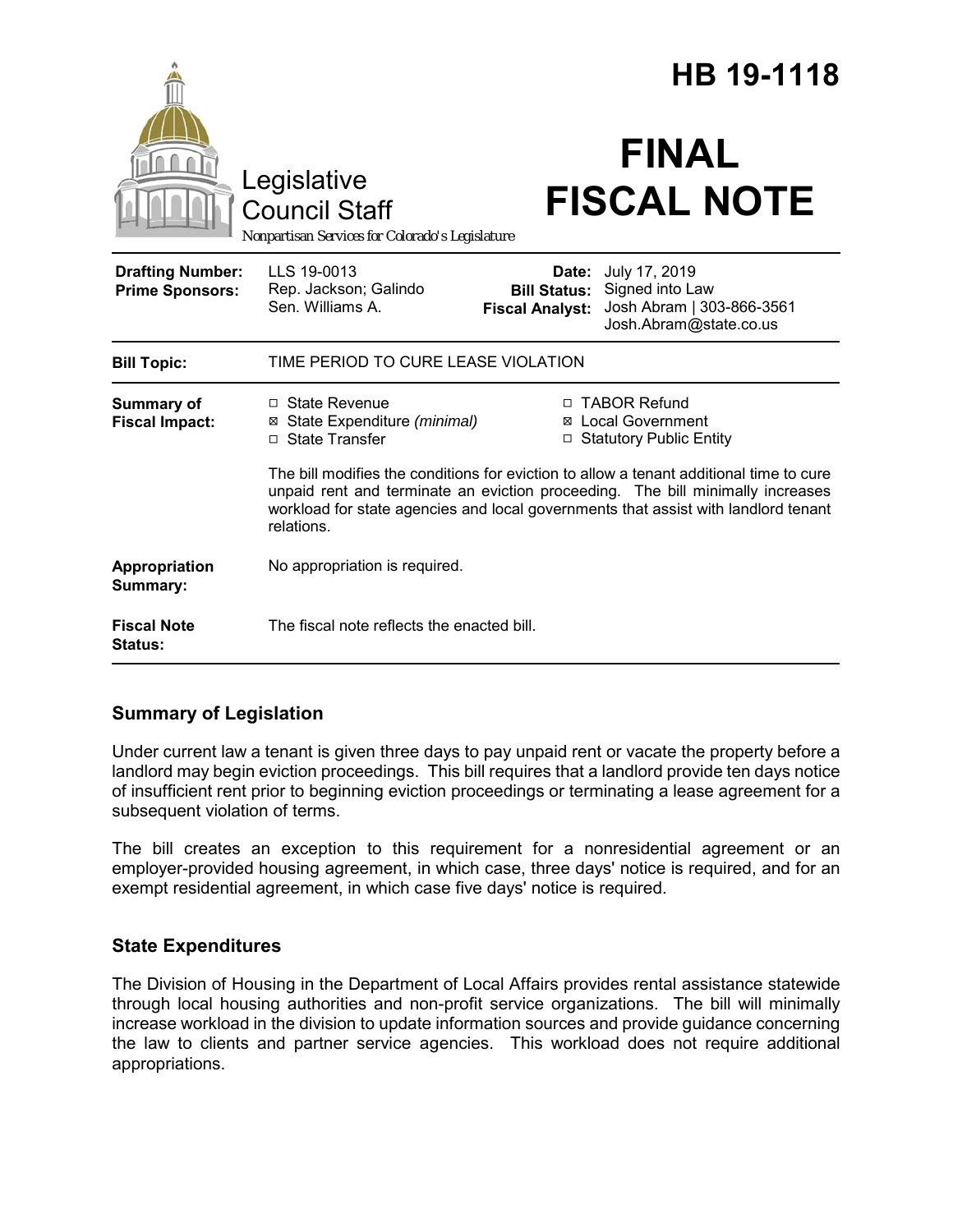|                                                   |                                                                                                                                                                                                                                                                               | <b>HB 19-1118</b>               |                                                                                                             |
|---------------------------------------------------|-------------------------------------------------------------------------------------------------------------------------------------------------------------------------------------------------------------------------------------------------------------------------------|---------------------------------|-------------------------------------------------------------------------------------------------------------|
|                                                   | Legislative<br><b>Council Staff</b><br>Nonpartisan Services for Colorado's Legislature                                                                                                                                                                                        |                                 | <b>FINAL</b><br><b>FISCAL NOTE</b>                                                                          |
| <b>Drafting Number:</b><br><b>Prime Sponsors:</b> | LLS 19-0013<br>Rep. Jackson; Galindo<br>Sen. Williams A.                                                                                                                                                                                                                      | Date:<br><b>Fiscal Analyst:</b> | July 17, 2019<br><b>Bill Status:</b> Signed into Law<br>Josh Abram   303-866-3561<br>Josh.Abram@state.co.us |
| <b>Bill Topic:</b>                                | TIME PERIOD TO CURE LEASE VIOLATION                                                                                                                                                                                                                                           |                                 |                                                                                                             |
| <b>Summary of</b><br><b>Fiscal Impact:</b>        | □ State Revenue<br>⊠ State Expenditure (minimal)<br>□ State Transfer                                                                                                                                                                                                          |                                 | □ TABOR Refund<br>⊠ Local Government<br>□ Statutory Public Entity                                           |
|                                                   | The bill modifies the conditions for eviction to allow a tenant additional time to cure<br>unpaid rent and terminate an eviction proceeding. The bill minimally increases<br>workload for state agencies and local governments that assist with landlord tenant<br>relations. |                                 |                                                                                                             |
| Appropriation<br>Summary:                         | No appropriation is required.                                                                                                                                                                                                                                                 |                                 |                                                                                                             |
| <b>Fiscal Note</b><br>Status:                     | The fiscal note reflects the enacted bill.                                                                                                                                                                                                                                    |                                 |                                                                                                             |

# **Summary of Legislation**

Under current law a tenant is given three days to pay unpaid rent or vacate the property before a landlord may begin eviction proceedings. This bill requires that a landlord provide ten days notice of insufficient rent prior to beginning eviction proceedings or terminating a lease agreement for a subsequent violation of terms.

The bill creates an exception to this requirement for a nonresidential agreement or an employer-provided housing agreement, in which case, three days' notice is required, and for an exempt residential agreement, in which case five days' notice is required.

# **State Expenditures**

The Division of Housing in the Department of Local Affairs provides rental assistance statewide through local housing authorities and non-profit service organizations. The bill will minimally increase workload in the division to update information sources and provide guidance concerning the law to clients and partner service agencies. This workload does not require additional appropriations.